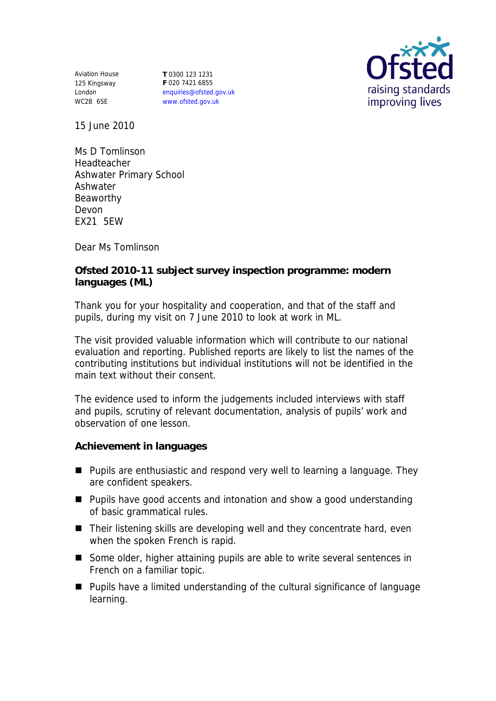Aviation House 125 Kingsway London WC2B 6SE

**T** 0300 123 1231 **F** 020 7421 6855 enquiries@ofsted.gov.uk www.ofsted.gov.uk



15 June 2010

Ms D Tomlinson Headteacher Ashwater Primary School Ashwater Beaworthy Devon EX21 5EW

Dear Ms Tomlinson

**Ofsted 2010-11 subject survey inspection programme: modern languages (ML)**

Thank you for your hospitality and cooperation, and that of the staff and pupils, during my visit on 7 June 2010 to look at work in ML.

The visit provided valuable information which will contribute to our national evaluation and reporting. Published reports are likely to list the names of the contributing institutions but individual institutions will not be identified in the main text without their consent.

The evidence used to inform the judgements included interviews with staff and pupils, scrutiny of relevant documentation, analysis of pupils' work and observation of one lesson.

**Achievement in languages**

- Pupils are enthusiastic and respond very well to learning a language. They are confident speakers.
- Pupils have good accents and intonation and show a good understanding of basic grammatical rules.
- Their listening skills are developing well and they concentrate hard, even when the spoken French is rapid.
- Some older, higher attaining pupils are able to write several sentences in French on a familiar topic.
- Pupils have a limited understanding of the cultural significance of language learning.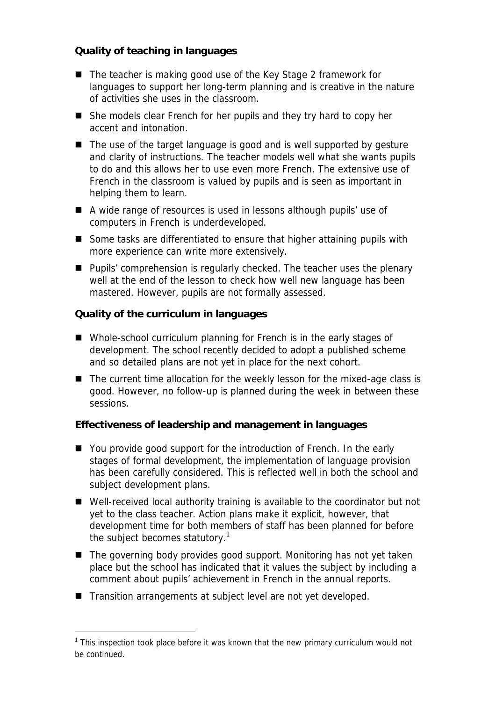**Quality of teaching in languages**

- The teacher is making good use of the Key Stage 2 framework for languages to support her long-term planning and is creative in the nature of activities she uses in the classroom.
- She models clear French for her pupils and they try hard to copy her accent and intonation.
- The use of the target language is good and is well supported by gesture and clarity of instructions. The teacher models well what she wants pupils to do and this allows her to use even more French. The extensive use of French in the classroom is valued by pupils and is seen as important in helping them to learn.
- A wide range of resources is used in lessons although pupils' use of computers in French is underdeveloped.
- Some tasks are differentiated to ensure that higher attaining pupils with more experience can write more extensively.
- Pupils' comprehension is regularly checked. The teacher uses the plenary well at the end of the lesson to check how well new language has been mastered. However, pupils are not formally assessed.

**Quality of the curriculum in languages**

- Whole-school curriculum planning for French is in the early stages of development. The school recently decided to adopt a published scheme and so detailed plans are not yet in place for the next cohort.
- The current time allocation for the weekly lesson for the mixed-age class is good. However, no follow-up is planned during the week in between these sessions.

**Effectiveness of leadership and management in languages**

- You provide good support for the introduction of French. In the early stages of formal development, the implementation of language provision has been carefully considered. This is reflected well in both the school and subject development plans.
- Well-received local authority training is available to the coordinator but not yet to the class teacher. Action plans make it explicit, however, that development time for both members of staff has been planned for before the subject becomes statutory.<sup>1</sup>
- The governing body provides good support. Monitoring has not yet taken place but the school has indicated that it values the subject by including a comment about pupils' achievement in French in the annual reports.
- Transition arrangements at subject level are not yet developed.

 $\overline{a}$ 

<sup>&</sup>lt;sup>1</sup> This inspection took place before it was known that the new primary curriculum would not be continued.